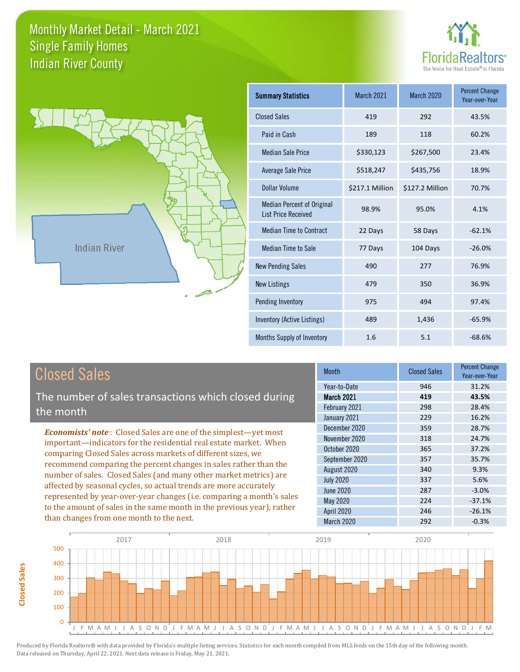



**Closed Sales**

**Closed Sales** 

| <b>Summary Statistics</b>                                       | <b>March 2021</b> | <b>March 2020</b> | <b>Percent Change</b><br>Year-over-Year |
|-----------------------------------------------------------------|-------------------|-------------------|-----------------------------------------|
| <b>Closed Sales</b>                                             | 419               | 292               | 43.5%                                   |
| Paid in Cash                                                    | 189               | 118               | 60.2%                                   |
| <b>Median Sale Price</b>                                        | \$330,123         | \$267,500         | 23.4%                                   |
| <b>Average Sale Price</b>                                       | \$518,247         | \$435,756         | 18.9%                                   |
| Dollar Volume                                                   | \$217.1 Million   | \$127.2 Million   | 70.7%                                   |
| <b>Median Percent of Original</b><br><b>List Price Received</b> | 98.9%             | 95.0%             | 4.1%                                    |
| <b>Median Time to Contract</b>                                  | 22 Days           | 58 Days           | $-62.1%$                                |
| <b>Median Time to Sale</b>                                      | 77 Days           | 104 Days          | $-26.0%$                                |
| <b>New Pending Sales</b>                                        | 490               | 277               | 76.9%                                   |
| <b>New Listings</b>                                             | 479               | 350               | 36.9%                                   |
| Pending Inventory                                               | 975               | 494               | 97.4%                                   |
| Inventory (Active Listings)                                     | 489               | 1,436             | $-65.9%$                                |
| Months Supply of Inventory                                      | 1.6               | 5.1               | $-68.6%$                                |

| <b>Closed Sales</b>                                                                                                                                                                                                                                                                                                                   | <b>Month</b>      | <b>Closed Sales</b> | Percent Change<br>Year-over-Year |
|---------------------------------------------------------------------------------------------------------------------------------------------------------------------------------------------------------------------------------------------------------------------------------------------------------------------------------------|-------------------|---------------------|----------------------------------|
|                                                                                                                                                                                                                                                                                                                                       | Year-to-Date      | 946                 | 31.2%                            |
| The number of sales transactions which closed during                                                                                                                                                                                                                                                                                  | <b>March 2021</b> | 419                 | 43.5%                            |
| the month                                                                                                                                                                                                                                                                                                                             | February 2021     | 298                 | 28.4%                            |
|                                                                                                                                                                                                                                                                                                                                       | January 2021      | 229                 | 16.2%                            |
| <b>Economists' note:</b> Closed Sales are one of the simplest—yet most<br>important-indicators for the residential real estate market. When<br>comparing Closed Sales across markets of different sizes, we                                                                                                                           | December 2020     | 359                 | 28.7%                            |
|                                                                                                                                                                                                                                                                                                                                       | November 2020     | 318                 | 24.7%                            |
|                                                                                                                                                                                                                                                                                                                                       | October 2020      | 365                 | 37.2%                            |
| recommend comparing the percent changes in sales rather than the                                                                                                                                                                                                                                                                      | September 2020    | 357                 | 35.7%                            |
| number of sales. Closed Sales (and many other market metrics) are<br>affected by seasonal cycles, so actual trends are more accurately<br>represented by year-over-year changes (i.e. comparing a month's sales<br>to the amount of sales in the same month in the previous year), rather<br>than changes from one month to the next. | August 2020       | 340                 | 9.3%                             |
|                                                                                                                                                                                                                                                                                                                                       | <b>July 2020</b>  | 337                 | 5.6%                             |
|                                                                                                                                                                                                                                                                                                                                       | June 2020         | 287                 | $-3.0%$                          |
|                                                                                                                                                                                                                                                                                                                                       | May 2020          | 224                 | $-37.1%$                         |
|                                                                                                                                                                                                                                                                                                                                       | <b>April 2020</b> | 246                 | $-26.1%$                         |
|                                                                                                                                                                                                                                                                                                                                       | March 2020        | 292                 | $-0.3%$                          |

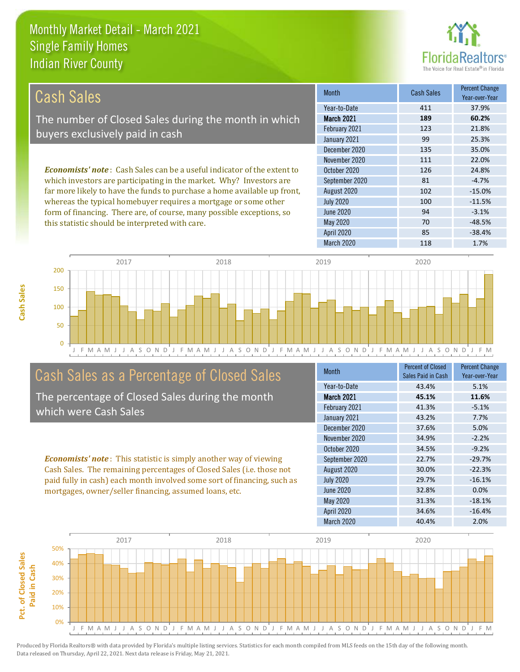this statistic should be interpreted with care.



70 -48.5%

| Cash Sales                                                                      | <b>Month</b>      | <b>Cash Sales</b> | <b>Percent Change</b><br>Year-over-Year |
|---------------------------------------------------------------------------------|-------------------|-------------------|-----------------------------------------|
|                                                                                 | Year-to-Date      | 411               | 37.9%                                   |
| The number of Closed Sales during the month in which                            | <b>March 2021</b> | 189               | 60.2%                                   |
| buyers exclusively paid in cash                                                 | February 2021     | 123               | 21.8%                                   |
|                                                                                 | January 2021      | 99                | 25.3%                                   |
|                                                                                 | December 2020     | 135               | 35.0%                                   |
|                                                                                 | November 2020     | 111               | 22.0%                                   |
| <b>Economists' note</b> : Cash Sales can be a useful indicator of the extent to | October 2020      | 126               | 24.8%                                   |
| which investors are participating in the market. Why? Investors are             | September 2020    | 81                | $-4.7%$                                 |
| far more likely to have the funds to purchase a home available up front,        | August 2020       | 102               | $-15.0%$                                |
| whereas the typical homebuyer requires a mortgage or some other                 | <b>July 2020</b>  | 100               | $-11.5%$                                |
| form of financing. There are, of course, many possible exceptions, so           | June 2020         | 94                | $-3.1%$                                 |



# Cash Sales as a Percentage of Closed Sales

The percentage of Closed Sales during the month which were Cash Sales

*Economists' note* : This statistic is simply another way of viewing Cash Sales. The remaining percentages of Closed Sales (i.e. those not paid fully in cash) each month involved some sort of financing, such as mortgages, owner/seller financing, assumed loans, etc.

| <b>Month</b>      | <b>Percent of Closed</b><br>Sales Paid in Cash | <b>Percent Change</b><br>Year-over-Year |
|-------------------|------------------------------------------------|-----------------------------------------|
| Year-to-Date      | 43.4%                                          | 5.1%                                    |
| <b>March 2021</b> | 45.1%                                          | 11.6%                                   |
| February 2021     | 41.3%                                          | $-5.1%$                                 |
| January 2021      | 43.2%                                          | 7.7%                                    |
| December 2020     | 37.6%                                          | 5.0%                                    |
| November 2020     | 34.9%                                          | $-2.2%$                                 |
| October 2020      | 34.5%                                          | $-9.2%$                                 |
| September 2020    | 22.7%                                          | $-29.7%$                                |
| August 2020       | 30.0%                                          | $-22.3%$                                |
| <b>July 2020</b>  | 29.7%                                          | $-16.1%$                                |
| June 2020         | 32.8%                                          | 0.0%                                    |
| May 2020          | 31.3%                                          | $-18.1%$                                |
| <b>April 2020</b> | 34.6%                                          | $-16.4%$                                |
| March 2020        | 40.4%                                          | 2.0%                                    |

April 2020 85 -38.4%

May 2020

March 2020 118 1.7%

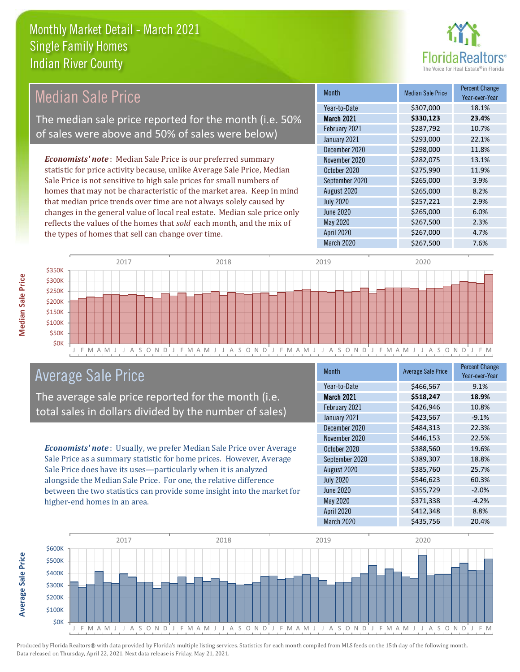

#### *Economists' note* : Median Sale Price is our preferred summary statistic for price activity because, unlike Average Sale Price, Median Sale Price is not sensitive to high sale prices for small numbers of homes that may not be characteristic of the market area. Keep in mind that median price trends over time are not always solely caused by changes in the general value of local real estate. Median sale price only reflects the values of the homes that *sold* each month, and the mix of the types of homes that sell can change over time. March 2020 \$267,500 7.6% May 2020 6267,500 2.3% April 2020 \$267,000 4.7% July 2020 \$257,221 2.9% June 2020 **\$265,000** \$265,000 6.0% \$298,000 11.8% November 2020 **\$282,075** 13.1% August 2020 \$265,000 \$265,000 February 2021 <br> \$287,792 <br> 10.7% January 2021 **\$293,000** 22.1% October 2020 **\$275,990** 11.9% September 2020 \$265,000 \$265,000 December 2020 Month Median Sale Price Percent Change Year-over-Year March 2021 **\$330,123 23.4%** Year-to-Date \$307,000 18.1% Median Sale Price The median sale price reported for the month (i.e. 50% of sales were above and 50% of sales were below)



# Average Sale Price

The average sale price reported for the month (i.e. total sales in dollars divided by the number of sales)

*Economists' note* : Usually, we prefer Median Sale Price over Average Sale Price as a summary statistic for home prices. However, Average Sale Price does have its uses—particularly when it is analyzed alongside the Median Sale Price. For one, the relative difference between the two statistics can provide some insight into the market for higher-end homes in an area.

| <b>Month</b>      | <b>Average Sale Price</b> | <b>Percent Change</b><br>Year-over-Year |
|-------------------|---------------------------|-----------------------------------------|
| Year-to-Date      | \$466,567                 | 9.1%                                    |
| March 2021        | \$518,247                 | 18.9%                                   |
| February 2021     | \$426,946                 | 10.8%                                   |
| January 2021      | \$423,567                 | $-9.1%$                                 |
| December 2020     | \$484,313                 | 22.3%                                   |
| November 2020     | \$446,153                 | 22.5%                                   |
| October 2020      | \$388,560                 | 19.6%                                   |
| September 2020    | \$389,307                 | 18.8%                                   |
| August 2020       | \$385,760                 | 25.7%                                   |
| <b>July 2020</b>  | \$546,623                 | 60.3%                                   |
| <b>June 2020</b>  | \$355,729                 | $-2.0%$                                 |
| May 2020          | \$371,338                 | $-4.2%$                                 |
| <b>April 2020</b> | \$412,348                 | 8.8%                                    |
| March 2020        | \$435,756                 | 20.4%                                   |

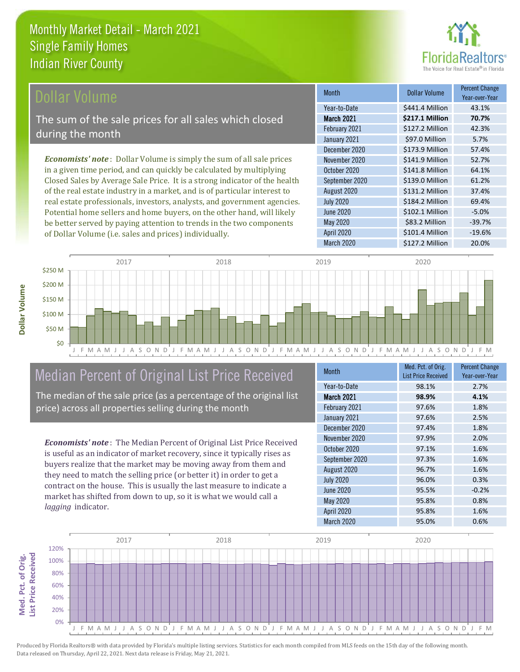

### Dollar Volume

The sum of the sale prices for all sales which closed during the month

*Economists' note* : Dollar Volume is simply the sum of all sale prices in a given time period, and can quickly be calculated by multiplying Closed Sales by Average Sale Price. It is a strong indicator of the health of the real estate industry in a market, and is of particular interest to real estate professionals, investors, analysts, and government agencies. Potential home sellers and home buyers, on the other hand, will likely be better served by paying attention to trends in the two components of Dollar Volume (i.e. sales and prices) individually.

| Month             | Dollar Volume   | <b>Percent Change</b><br>Year-over-Year |
|-------------------|-----------------|-----------------------------------------|
| Year-to-Date      | \$441.4 Million | 43.1%                                   |
| <b>March 2021</b> | \$217.1 Million | 70.7%                                   |
| February 2021     | \$127.2 Million | 42.3%                                   |
| January 2021      | \$97.0 Million  | 5.7%                                    |
| December 2020     | \$173.9 Million | 57.4%                                   |
| November 2020     | \$141.9 Million | 52.7%                                   |
| October 2020      | \$141.8 Million | 64.1%                                   |
| September 2020    | \$139.0 Million | 61.2%                                   |
| August 2020       | \$131.2 Million | 37.4%                                   |
| <b>July 2020</b>  | \$184.2 Million | 69.4%                                   |
| <b>June 2020</b>  | \$102.1 Million | $-5.0%$                                 |
| May 2020          | \$83.2 Million  | $-39.7%$                                |
| <b>April 2020</b> | \$101.4 Million | $-19.6%$                                |
| <b>March 2020</b> | \$127.2 Million | 20.0%                                   |



# Median Percent of Original List Price Received

The median of the sale price (as a percentage of the original list price) across all properties selling during the month

*Economists' note* : The Median Percent of Original List Price Received is useful as an indicator of market recovery, since it typically rises as buyers realize that the market may be moving away from them and they need to match the selling price (or better it) in order to get a contract on the house. This is usually the last measure to indicate a market has shifted from down to up, so it is what we would call a *lagging* indicator.

| <b>Month</b>      | Med. Pct. of Orig.<br><b>List Price Received</b> | <b>Percent Change</b><br>Year-over-Year |
|-------------------|--------------------------------------------------|-----------------------------------------|
| Year-to-Date      | 98.1%                                            | 2.7%                                    |
| March 2021        | 98.9%                                            | 4.1%                                    |
| February 2021     | 97.6%                                            | 1.8%                                    |
| January 2021      | 97.6%                                            | 2.5%                                    |
| December 2020     | 97.4%                                            | 1.8%                                    |
| November 2020     | 97.9%                                            | 2.0%                                    |
| October 2020      | 97.1%                                            | 1.6%                                    |
| September 2020    | 97.3%                                            | 1.6%                                    |
| August 2020       | 96.7%                                            | 1.6%                                    |
| <b>July 2020</b>  | 96.0%                                            | 0.3%                                    |
| <b>June 2020</b>  | 95.5%                                            | $-0.2%$                                 |
| <b>May 2020</b>   | 95.8%                                            | 0.8%                                    |
| <b>April 2020</b> | 95.8%                                            | 1.6%                                    |
| March 2020        | 95.0%                                            | 0.6%                                    |

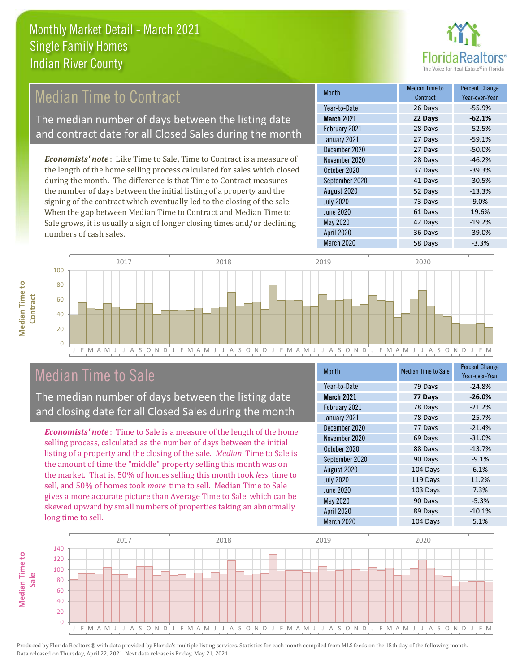

# **Median Time to Contract**

The median number of days between the listing date and contract date for all Closed Sales during the month

*Economists' note* : Like Time to Sale, Time to Contract is a measure of the length of the home selling process calculated for sales which closed during the month. The difference is that Time to Contract measures the number of days between the initial listing of a property and the signing of the contract which eventually led to the closing of the sale. When the gap between Median Time to Contract and Median Time to Sale grows, it is usually a sign of longer closing times and/or declining numbers of cash sales.

| <b>Month</b>      | Median Time to<br>Contract | <b>Percent Change</b><br>Year-over-Year |
|-------------------|----------------------------|-----------------------------------------|
| Year-to-Date      | 26 Days                    | $-55.9%$                                |
| <b>March 2021</b> | 22 Days                    | $-62.1%$                                |
| February 2021     | 28 Days                    | $-52.5%$                                |
| January 2021      | 27 Days                    | $-59.1%$                                |
| December 2020     | 27 Days                    | $-50.0%$                                |
| November 2020     | 28 Days                    | $-46.2%$                                |
| October 2020      | 37 Days                    | $-39.3%$                                |
| September 2020    | 41 Days                    | $-30.5%$                                |
| August 2020       | 52 Days                    | $-13.3%$                                |
| <b>July 2020</b>  | 73 Days                    | 9.0%                                    |
| <b>June 2020</b>  | 61 Days                    | 19.6%                                   |
| May 2020          | 42 Days                    | $-19.2%$                                |
| <b>April 2020</b> | 36 Days                    | $-39.0%$                                |
| March 2020        | 58 Days                    | $-3.3%$                                 |



# Median Time to Sale

**Median Time to** 

**Median Time to** 

**Median Time to** 

The median number of days between the listing date and closing date for all Closed Sales during the month

*Economists' note* : Time to Sale is a measure of the length of the home selling process, calculated as the number of days between the initial listing of a property and the closing of the sale. *Median* Time to Sale is the amount of time the "middle" property selling this month was on the market. That is, 50% of homes selling this month took *less* time to sell, and 50% of homes took *more* time to sell. Median Time to Sale gives a more accurate picture than Average Time to Sale, which can be skewed upward by small numbers of properties taking an abnormally long time to sell.

| <b>Month</b>      | <b>Median Time to Sale</b> | <b>Percent Change</b><br>Year-over-Year |
|-------------------|----------------------------|-----------------------------------------|
| Year-to-Date      | 79 Days                    | $-24.8%$                                |
| <b>March 2021</b> | 77 Days                    | $-26.0%$                                |
| February 2021     | 78 Days                    | $-21.2%$                                |
| January 2021      | 78 Days                    | $-25.7%$                                |
| December 2020     | 77 Days                    | $-21.4%$                                |
| November 2020     | 69 Days                    | $-31.0%$                                |
| October 2020      | 88 Days                    | $-13.7%$                                |
| September 2020    | 90 Days                    | $-9.1%$                                 |
| August 2020       | 104 Days                   | 6.1%                                    |
| <b>July 2020</b>  | 119 Days                   | 11.2%                                   |
| <b>June 2020</b>  | 103 Days                   | 7.3%                                    |
| May 2020          | 90 Days                    | $-5.3%$                                 |
| <b>April 2020</b> | 89 Days                    | $-10.1%$                                |
| March 2020        | 104 Days                   | 5.1%                                    |

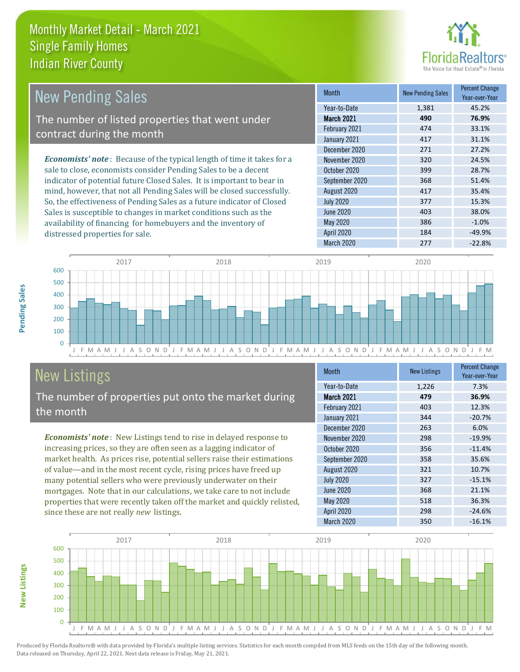

| New Pending Sales                                                             | <b>Month</b>      | <b>New Pending Sales</b> | <b>Percent Change</b><br>Year-over-Year |
|-------------------------------------------------------------------------------|-------------------|--------------------------|-----------------------------------------|
|                                                                               | Year-to-Date      | 1,381                    | 45.2%                                   |
| The number of listed properties that went under                               | <b>March 2021</b> | 490                      | 76.9%                                   |
| contract during the month                                                     | February 2021     | 474                      | 33.1%                                   |
|                                                                               | January 2021      | 417                      | 31.1%                                   |
|                                                                               | December 2020     | 271                      | 27.2%                                   |
| <b>Economists' note:</b> Because of the typical length of time it takes for a | November 2020     | 320                      | 24.5%                                   |
| sale to close, economists consider Pending Sales to be a decent               | October 2020      | 399                      | 28.7%                                   |
| indicator of potential future Closed Sales. It is important to bear in        | September 2020    | 368                      | 51.4%                                   |
| mind, however, that not all Pending Sales will be closed successfully.        | August 2020       | 417                      | 35.4%                                   |
| So, the effectiveness of Pending Sales as a future indicator of Closed        | <b>July 2020</b>  | 377                      | 15.3%                                   |
| Sales is susceptible to changes in market conditions such as the              | June 2020         | 403                      | 38.0%                                   |



# New Listings

distressed properties for sale.

The number of properties put onto the market during the month

availability of financing for homebuyers and the inventory of

*Economists' note* : New Listings tend to rise in delayed response to increasing prices, so they are often seen as a lagging indicator of market health. As prices rise, potential sellers raise their estimations of value—and in the most recent cycle, rising prices have freed up many potential sellers who were previously underwater on their mortgages. Note that in our calculations, we take care to not include properties that were recently taken off the market and quickly relisted, since these are not really *new* listings.

| <b>Month</b>      | <b>New Listings</b> | <b>Percent Change</b><br>Year-over-Year |
|-------------------|---------------------|-----------------------------------------|
| Year-to-Date      | 1,226               | 7.3%                                    |
| <b>March 2021</b> | 479                 | 36.9%                                   |
| February 2021     | 403                 | 12.3%                                   |
| January 2021      | 344                 | $-20.7%$                                |
| December 2020     | 263                 | 6.0%                                    |
| November 2020     | 298                 | $-19.9%$                                |
| October 2020      | 356                 | $-11.4%$                                |
| September 2020    | 358                 | 35.6%                                   |
| August 2020       | 321                 | 10.7%                                   |
| <b>July 2020</b>  | 327                 | $-15.1%$                                |
| <b>June 2020</b>  | 368                 | 21.1%                                   |
| May 2020          | 518                 | 36.3%                                   |
| <b>April 2020</b> | 298                 | $-24.6%$                                |
| March 2020        | 350                 | $-16.1%$                                |

March 2020 277 277 -22.8%

May 2020 386 -1.0% April 2020 184 -49.9%



**Pending Sales**

Pending Sales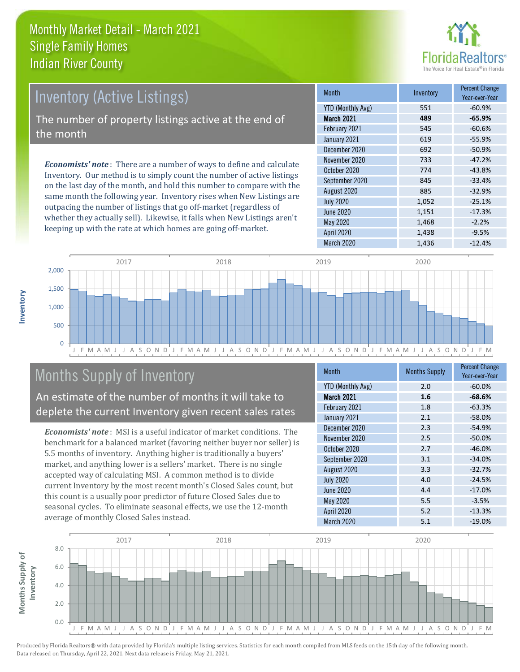

# Inventory (Active Listings)

The number of property listings active at the end of the month

*Economists' note* : There are a number of ways to define and calculate Inventory. Our method is to simply count the number of active listings on the last day of the month, and hold this number to compare with the same month the following year. Inventory rises when New Listings are outpacing the number of listings that go off-market (regardless of whether they actually sell). Likewise, it falls when New Listings aren't keeping up with the rate at which homes are going off-market.

| <b>Month</b>             | Inventory | <b>Percent Change</b><br>Year-over-Year |
|--------------------------|-----------|-----------------------------------------|
| <b>YTD (Monthly Avg)</b> | 551       | $-60.9%$                                |
| <b>March 2021</b>        | 489       | $-65.9%$                                |
| February 2021            | 545       | $-60.6%$                                |
| January 2021             | 619       | $-55.9%$                                |
| December 2020            | 692       | $-50.9%$                                |
| November 2020            | 733       | $-47.2%$                                |
| October 2020             | 774       | $-43.8%$                                |
| September 2020           | 845       | $-33.4%$                                |
| August 2020              | 885       | $-32.9%$                                |
| <b>July 2020</b>         | 1,052     | $-25.1%$                                |
| <b>June 2020</b>         | 1,151     | $-17.3%$                                |
| May 2020                 | 1,468     | $-2.2%$                                 |
| April 2020               | 1,438     | $-9.5%$                                 |
| March 2020               | 1,436     | $-12.4%$                                |



# Months Supply of Inventory

An estimate of the number of months it will take to deplete the current Inventory given recent sales rates

*Economists' note* : MSI is a useful indicator of market conditions. The benchmark for a balanced market (favoring neither buyer nor seller) is 5.5 months of inventory. Anything higher is traditionally a buyers' market, and anything lower is a sellers' market. There is no single accepted way of calculating MSI. A common method is to divide current Inventory by the most recent month's Closed Sales count, but this count is a usually poor predictor of future Closed Sales due to seasonal cycles. To eliminate seasonal effects, we use the 12-month average of monthly Closed Sales instead.

| Month                    | <b>Months Supply</b> | <b>Percent Change</b><br>Year-over-Year |
|--------------------------|----------------------|-----------------------------------------|
| <b>YTD (Monthly Avg)</b> | 2.0                  | $-60.0%$                                |
| March 2021               | 1.6                  | $-68.6%$                                |
| February 2021            | 1.8                  | $-63.3%$                                |
| January 2021             | 2.1                  | $-58.0%$                                |
| December 2020            | 2.3                  | $-54.9%$                                |
| November 2020            | 2.5                  | $-50.0%$                                |
| October 2020             | 2.7                  | $-46.0%$                                |
| September 2020           | 3.1                  | $-34.0%$                                |
| August 2020              | 3.3                  | $-32.7%$                                |
| <b>July 2020</b>         | 4.0                  | $-24.5%$                                |
| <b>June 2020</b>         | 4.4                  | $-17.0%$                                |
| May 2020                 | 5.5                  | $-3.5%$                                 |
| <b>April 2020</b>        | 5.2                  | $-13.3%$                                |
| <b>March 2020</b>        | 5.1                  | $-19.0%$                                |

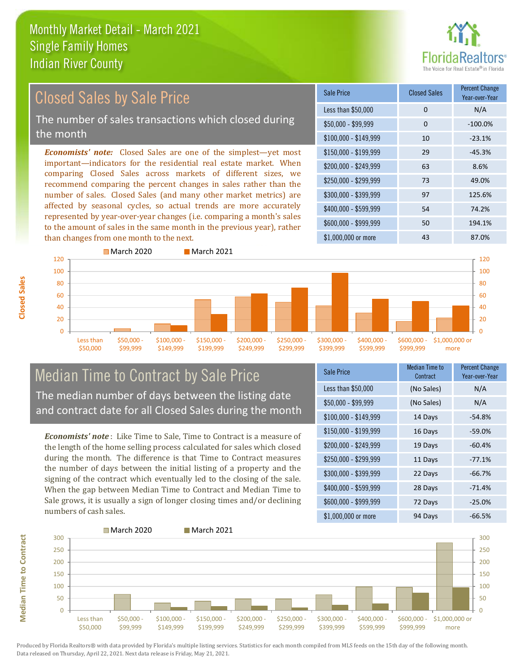

#### \$100,000 - \$149,999 10 -23.1% Sale Price Closed Sales Percent Change Year-over-Year Less than \$50,000 0 0 N/A  $$50.000 - $99.999$  0  $-100.0\%$ \$150,000 - \$199,999 29 -45.3% \$200,000 - \$249,999 63 8.6% \$400,000 - \$599,999 54 74.2% \$600,000 - \$999,999 50 194.1% *Economists' note:* Closed Sales are one of the simplest—yet most important—indicators for the residential real estate market. When comparing Closed Sales across markets of different sizes, we recommend comparing the percent changes in sales rather than the number of sales. Closed Sales (and many other market metrics) are affected by seasonal cycles, so actual trends are more accurately represented by year-over-year changes (i.e. comparing a month's sales to the amount of sales in the same month in the previous year), rather than changes from one month to the next. \$1,000,000 or more 43 43 87.0% \$250,000 - \$299,999 73 49.0% \$300,000 - \$399,999 97 125.6% Closed Sales by Sale Price The number of sales transactions which closed during the month



### Median Time to Contract by Sale Price The median number of days between the listing date and contract date for all Closed Sales during the month

*Economists' note* : Like Time to Sale, Time to Contract is a measure of the length of the home selling process calculated for sales which closed during the month. The difference is that Time to Contract measures the number of days between the initial listing of a property and the signing of the contract which eventually led to the closing of the sale. When the gap between Median Time to Contract and Median Time to Sale grows, it is usually a sign of longer closing times and/or declining numbers of cash sales.

| Sale Price            | <b>Median Time to</b><br>Contract | <b>Percent Change</b><br>Year-over-Year |
|-----------------------|-----------------------------------|-----------------------------------------|
| Less than \$50,000    | (No Sales)                        | N/A                                     |
| $$50,000 - $99,999$   | (No Sales)                        | N/A                                     |
| $$100,000 - $149,999$ | 14 Days                           | $-54.8%$                                |
| $$150,000 - $199,999$ | 16 Days                           | $-59.0%$                                |
| \$200,000 - \$249,999 | 19 Days                           | $-60.4%$                                |
| \$250,000 - \$299,999 | 11 Days                           | $-77.1%$                                |
| \$300,000 - \$399,999 | 22 Days                           | $-66.7%$                                |
| \$400,000 - \$599,999 | 28 Days                           | $-71.4%$                                |
| \$600,000 - \$999,999 | 72 Days                           | $-25.0%$                                |
| \$1,000,000 or more   | 94 Days                           | $-66.5%$                                |

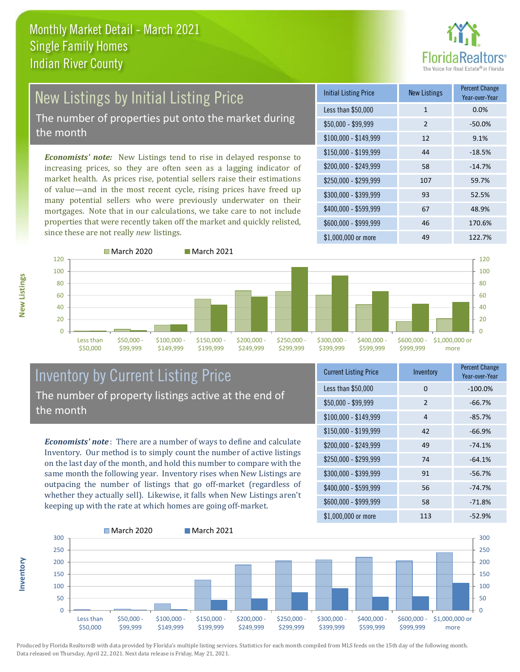![](_page_8_Picture_1.jpeg)

# New Listings by Initial Listing Price The number of properties put onto the market during

the month

*Economists' note:* New Listings tend to rise in delayed response to increasing prices, so they are often seen as a lagging indicator of market health. As prices rise, potential sellers raise their estimations of value—and in the most recent cycle, rising prices have freed up many potential sellers who were previously underwater on their mortgages. Note that in our calculations, we take care to not include properties that were recently taken off the market and quickly relisted, since these are not really *new* listings.

| <b>Initial Listing Price</b> | <b>New Listings</b> | <b>Percent Change</b><br>Year-over-Year |
|------------------------------|---------------------|-----------------------------------------|
| Less than \$50,000           | 1                   | 0.0%                                    |
| $$50,000 - $99,999$          | $\overline{2}$      | $-50.0%$                                |
| $$100,000 - $149,999$        | 12                  | 9.1%                                    |
| $$150,000 - $199,999$        | 44                  | $-18.5%$                                |
| \$200,000 - \$249,999        | 58                  | $-14.7%$                                |
| \$250,000 - \$299,999        | 107                 | 59.7%                                   |
| \$300,000 - \$399,999        | 93                  | 52.5%                                   |
| \$400,000 - \$599,999        | 67                  | 48.9%                                   |
| \$600,000 - \$999,999        | 46                  | 170.6%                                  |
| $$1,000,000$ or more         | 49                  | 122.7%                                  |

![](_page_8_Figure_6.jpeg)

### Inventory by Current Listing Price The number of property listings active at the end of the month

*Economists' note* : There are a number of ways to define and calculate Inventory. Our method is to simply count the number of active listings on the last day of the month, and hold this number to compare with the same month the following year. Inventory rises when New Listings are outpacing the number of listings that go off-market (regardless of whether they actually sell). Likewise, it falls when New Listings aren't keeping up with the rate at which homes are going off-market.

| <b>Current Listing Price</b> | Inventory | <b>Percent Change</b><br>Year-over-Year |
|------------------------------|-----------|-----------------------------------------|
| Less than \$50,000           | $\Omega$  | $-100.0%$                               |
| $$50,000 - $99,999$          | 2         | $-66.7%$                                |
| $$100,000 - $149,999$        | 4         | $-85.7%$                                |
| $$150,000 - $199,999$        | 42        | $-66.9%$                                |
| \$200,000 - \$249,999        | 49        | $-74.1%$                                |
| \$250,000 - \$299,999        | 74        | $-64.1%$                                |
| \$300,000 - \$399,999        | 91        | $-56.7%$                                |
| \$400,000 - \$599,999        | 56        | $-74.7%$                                |
| \$600,000 - \$999,999        | 58        | $-71.8%$                                |
| \$1,000,000 or more          | 113       | $-52.9%$                                |

![](_page_8_Figure_10.jpeg)

Produced by Florida Realtors® with data provided by Florida's multiple listing services. Statistics for each month compiled from MLS feeds on the 15th day of the following month. Data released on Thursday, April 22, 2021. Next data release is Friday, May 21, 2021.

**Inventory**